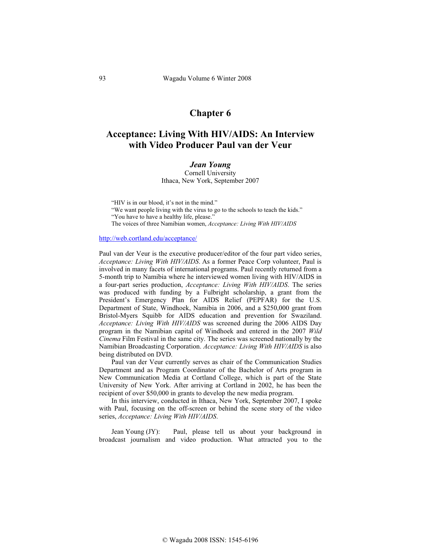## **Chapter 6**

## **Acceptance: Living With HIV/AIDS: An Interview with Video Producer Paul van der Veur**

*Jean Young*  Cornell University Ithaca, New York, September 2007

"HIV is in our blood, it's not in the mind."

"We want people living with the virus to go to the schools to teach the kids."

"You have to have a healthy life, please."

The voices of three Namibian women, *Acceptance: Living With HIV/AIDS*

## http://web.cortland.edu/acceptance/

Paul van der Veur is the executive producer/editor of the four part video series, *Acceptance: Living With HIV/AIDS*. As a former Peace Corp volunteer, Paul is involved in many facets of international programs. Paul recently returned from a 5-month trip to Namibia where he interviewed women living with HIV/AIDS in a four-part series production, *Acceptance: Living With HIV/AIDS*. The series was produced with funding by a Fulbright scholarship, a grant from the President's Emergency Plan for AIDS Relief (PEPFAR) for the U.S. Department of State, Windhoek, Namibia in 2006, and a \$250,000 grant from Bristol-Myers Squibb for AIDS education and prevention for Swaziland. *Acceptance: Living With HIV/AIDS* was screened during the 2006 AIDS Day program in the Namibian capital of Windhoek and entered in the 2007 *Wild Cinema* Film Festival in the same city. The series was screened nationally by the Namibian Broadcasting Corporation. *Acceptance: Living With HIV/AIDS* is also being distributed on DVD.

Paul van der Veur currently serves as chair of the Communication Studies Department and as Program Coordinator of the Bachelor of Arts program in New Communication Media at Cortland College, which is part of the State University of New York. After arriving at Cortland in 2002, he has been the recipient of over \$50,000 in grants to develop the new media program.

In this interview, conducted in Ithaca, New York, September 2007, I spoke with Paul, focusing on the off-screen or behind the scene story of the video series, *Acceptance: Living With HIV/AIDS*.

Jean Young (JY): Paul, please tell us about your background in broadcast journalism and video production. What attracted you to the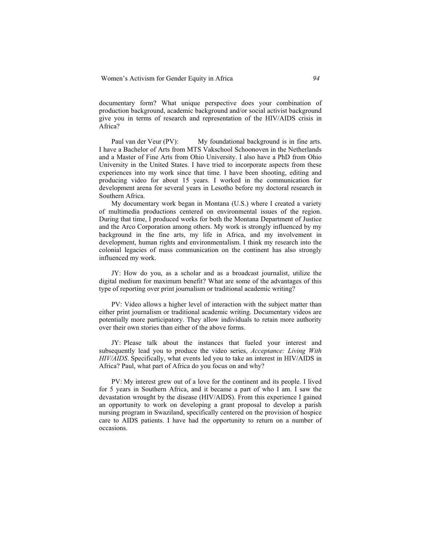documentary form? What unique perspective does your combination of production background, academic background and/or social activist background give you in terms of research and representation of the HIV/AIDS crisis in Africa?

Paul van der Veur (PV): My foundational background is in fine arts. I have a Bachelor of Arts from MTS Vakschool Schoonoven in the Netherlands and a Master of Fine Arts from Ohio University. I also have a PhD from Ohio University in the United States. I have tried to incorporate aspects from these experiences into my work since that time. I have been shooting, editing and producing video for about 15 years. I worked in the communication for development arena for several years in Lesotho before my doctoral research in Southern Africa.

My documentary work began in Montana (U.S.) where I created a variety of multimedia productions centered on environmental issues of the region. During that time, I produced works for both the Montana Department of Justice and the Arco Corporation among others. My work is strongly influenced by my background in the fine arts, my life in Africa, and my involvement in development, human rights and environmentalism. I think my research into the colonial legacies of mass communication on the continent has also strongly influenced my work.

JY: How do you, as a scholar and as a broadcast journalist, utilize the digital medium for maximum benefit? What are some of the advantages of this type of reporting over print journalism or traditional academic writing?

PV: Video allows a higher level of interaction with the subject matter than either print journalism or traditional academic writing. Documentary videos are potentially more participatory. They allow individuals to retain more authority over their own stories than either of the above forms.

JY: Please talk about the instances that fueled your interest and subsequently lead you to produce the video series, *Acceptance: Living With HIV/AIDS*. Specifically, what events led you to take an interest in HIV/AIDS in Africa? Paul, what part of Africa do you focus on and why?

PV: My interest grew out of a love for the continent and its people. I lived for 5 years in Southern Africa, and it became a part of who I am. I saw the devastation wrought by the disease (HIV/AIDS). From this experience I gained an opportunity to work on developing a grant proposal to develop a parish nursing program in Swaziland, specifically centered on the provision of hospice care to AIDS patients. I have had the opportunity to return on a number of occasions.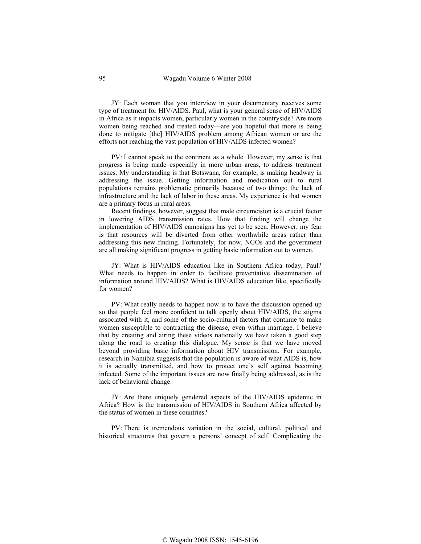JY: Each woman that you interview in your documentary receives some type of treatment for HIV/AIDS. Paul, what is your general sense of HIV/AIDS in Africa as it impacts women, particularly women in the countryside? Are more women being reached and treated today—are you hopeful that more is being done to mitigate [the] HIV/AIDS problem among African women or are the efforts not reaching the vast population of HIV/AIDS infected women?

PV: I cannot speak to the continent as a whole. However, my sense is that progress is being made–especially in more urban areas, to address treatment issues. My understanding is that Botswana, for example, is making headway in addressing the issue. Getting information and medication out to rural populations remains problematic primarily because of two things: the lack of infrastructure and the lack of labor in these areas. My experience is that women are a primary focus in rural areas.

Recent findings, however, suggest that male circumcision is a crucial factor in lowering AIDS transmission rates. How that finding will change the implementation of HIV/AIDS campaigns has yet to be seen. However, my fear is that resources will be diverted from other worthwhile areas rather than addressing this new finding. Fortunately, for now, NGOs and the government are all making significant progress in getting basic information out to women.

JY: What is HIV/AIDS education like in Southern Africa today, Paul? What needs to happen in order to facilitate preventative dissemination of information around HIV/AIDS? What is HIV/AIDS education like, specifically for women?

PV: What really needs to happen now is to have the discussion opened up so that people feel more confident to talk openly about HIV/AIDS, the stigma associated with it, and some of the socio-cultural factors that continue to make women susceptible to contracting the disease, even within marriage. I believe that by creating and airing these videos nationally we have taken a good step along the road to creating this dialogue. My sense is that we have moved beyond providing basic information about HIV transmission. For example, research in Namibia suggests that the population is aware of what AIDS is, how it is actually transmitted, and how to protect one's self against becoming infected. Some of the important issues are now finally being addressed, as is the lack of behavioral change.

JY: Are there uniquely gendered aspects of the HIV/AIDS epidemic in Africa? How is the transmission of HIV/AIDS in Southern Africa affected by the status of women in these countries?

PV: There is tremendous variation in the social, cultural, political and historical structures that govern a persons' concept of self. Complicating the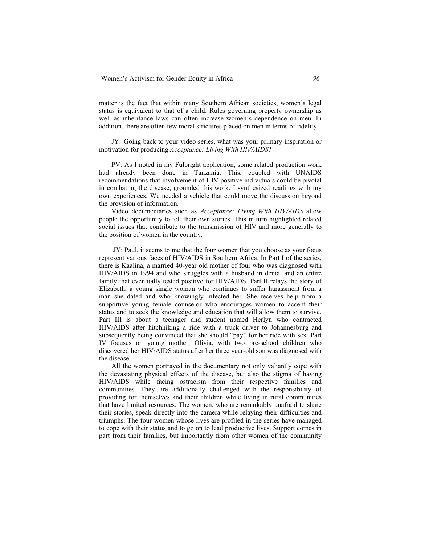matter is the fact that within many Southern African societies, women's legal status is equivalent to that of a child. Rules governing property ownership as well as inheritance laws can often increase women's dependence on men. In addition, there are often few moral strictures placed on men in terms of fidelity.

JY: Going back to your video series, what was your primary inspiration or motivation for producing *Acceptance: Living With HIV/AIDS*?

PV: As I noted in my Fulbright application, some related production work had already been done in Tanzania. This, coupled with UNAIDS recommendations that involvement of HIV positive individuals could be pivotal in combating the disease, grounded this work. I synthesized readings with my own experiences. We needed a vehicle that could move the discussion beyond the provision of information.

Video documentaries such as *Acceptance: Living With HIV/AIDS* allow people the opportunity to tell their own stories. This in turn highlighted related social issues that contribute to the transmission of HIV and more generally to the position of women in the country.

 JY: Paul, it seems to me that the four women that you choose as your focus represent various faces of HIV/AIDS in Southern Africa. In Part I of the series, there is Kaalina, a married 40-year old mother of four who was diagnosed with HIV/AIDS in 1994 and who struggles with a husband in denial and an entire family that eventually tested positive for HIV/AIDS. Part II relays the story of Elizabeth, a young single woman who continues to suffer harassment from a man she dated and who knowingly infected her. She receives help from a supportive young female counselor who encourages women to accept their status and to seek the knowledge and education that will allow them to survive. Part III is about a teenager and student named Herlyn who contracted HIV/AIDS after hitchhiking a ride with a truck driver to Johannesburg and subsequently being convinced that she should "pay" for her ride with sex. Part IV focuses on young mother, Olivia, with two pre-school children who discovered her HIV/AIDS status after her three year-old son was diagnosed with the disease.

All the women portrayed in the documentary not only valiantly cope with the devastating physical effects of the disease, but also the stigma of having HIV/AIDS while facing ostracism from their respective families and communities. They are additionally challenged with the responsibility of providing for themselves and their children while living in rural communities that have limited resources. The women, who are remarkably unafraid to share their stories, speak directly into the camera while relaying their difficulties and triumphs. The four women whose lives are profiled in the series have managed to cope with their status and to go on to lead productive lives. Support comes in part from their families, but importantly from other women of the community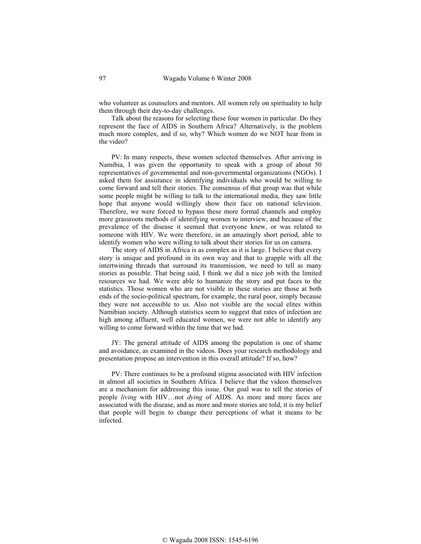who volunteer as counselors and mentors. All women rely on spirituality to help them through their day-to-day challenges.

Talk about the reasons for selecting these four women in particular. Do they represent the face of AIDS in Southern Africa? Alternatively, is the problem much more complex, and if so, why? Which women do we NOT hear from in the video?

PV: In many respects, these women selected themselves. After arriving in Namibia, I was given the opportunity to speak with a group of about 50 representatives of governmental and non-governmental organizations (NGOs). I asked them for assistance in identifying individuals who would be willing to come forward and tell their stories. The consensus of that group was that while some people might be willing to talk to the international media, they saw little hope that anyone would willingly show their face on national television. Therefore, we were forced to bypass these more formal channels and employ more grassroots methods of identifying women to interview, and because of the prevalence of the disease it seemed that everyone knew, or was related to someone with HIV. We were therefore, in an amazingly short period, able to identify women who were willing to talk about their stories for us on camera.

The story of AIDS in Africa is as complex as it is large. I believe that every story is unique and profound in its own way and that to grapple with all the intertwining threads that surround its transmission, we need to tell as many stories as possible. That being said, I think we did a nice job with the limited resources we had. We were able to humanize the story and put faces to the statistics. Those women who are not visible in these stories are those at both ends of the socio-political spectrum, for example, the rural poor, simply because they were not accessible to us. Also not visible are the social elites within Namibian society. Although statistics seem to suggest that rates of infection are high among affluent, well educated women, we were not able to identify any willing to come forward within the time that we had.

JY: The general attitude of AIDS among the population is one of shame and avoidance, as examined in the videos. Does your research methodology and presentation propose an intervention in this overall attitude? If so, how?

PV: There continues to be a profound stigma associated with HIV infection in almost all societies in Southern Africa. I believe that the videos themselves are a mechanism for addressing this issue. Our goal was to tell the stories of people *living* with HIV…not *dying* of AIDS. As more and more faces are associated with the disease, and as more and more stories are told, it is my belief that people will begin to change their perceptions of what it means to be infected.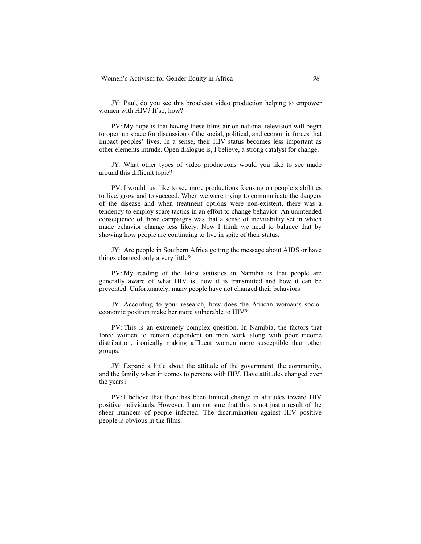JY: Paul, do you see this broadcast video production helping to empower women with HIV? If so, how?

PV: My hope is that having these films air on national television will begin to open up space for discussion of the social, political, and economic forces that impact peoples' lives. In a sense, their HIV status becomes less important as other elements intrude. Open dialogue is, I believe, a strong catalyst for change.

JY: What other types of video productions would you like to see made around this difficult topic?

PV: I would just like to see more productions focusing on people's abilities to live, grow and to succeed. When we were trying to communicate the dangers of the disease and when treatment options were non-existent, there was a tendency to employ scare tactics in an effort to change behavior. An unintended consequence of those campaigns was that a sense of inevitability set in which made behavior change less likely. Now I think we need to balance that by showing how people are continuing to live in spite of their status.

JY: Are people in Southern Africa getting the message about AIDS or have things changed only a very little?

PV: My reading of the latest statistics in Namibia is that people are generally aware of what HIV is, how it is transmitted and how it can be prevented. Unfortunately, many people have not changed their behaviors.

JY: According to your research, how does the African woman's socioeconomic position make her more vulnerable to HIV?

PV: This is an extremely complex question. In Namibia, the factors that force women to remain dependent on men work along with poor income distribution, ironically making affluent women more susceptible than other groups.

JY: Expand a little about the attitude of the government, the community, and the family when in comes to persons with HIV. Have attitudes changed over the years?

PV: I believe that there has been limited change in attitudes toward HIV positive individuals. However, I am not sure that this is not just a result of the sheer numbers of people infected. The discrimination against HIV positive people is obvious in the films.